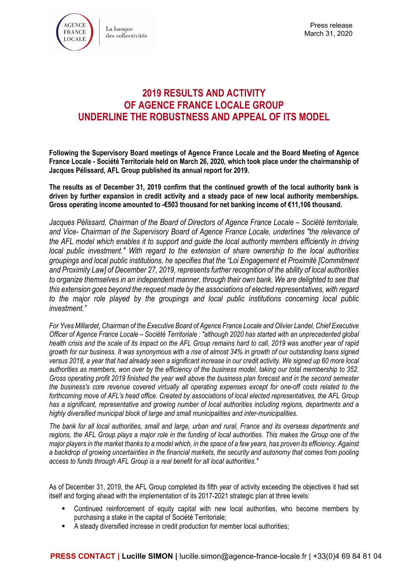

# **2019 RESULTS AND ACTIVITY OF AGENCE FRANCE LOCALE GROUP UNDERLINE THE ROBUSTNESS AND APPEAL OF ITS MODEL**

**Following the Supervisory Board meetings of Agence France Locale and the Board Meeting of Agence France Locale - Société Territoriale held on March 26, 2020, which took place under the chairmanship of Jacques Pélissard, AFL Group published its annual report for 2019.**

**The results as of December 31, 2019 confirm that the continued growth of the local authority bank is driven by further expansion in credit activity and a steady pace of new local authority memberships. Gross operating income amounted to -€503 thousand for net banking income of €11,106 thousand.**

*Jacques Pélissard, Chairman of the Board of Directors of Agence France Locale – Société territoriale, and Vice- Chairman of the Supervisory Board of Agence France Locale, underlines "the relevance of the AFL model which enables it to support and guide the local authority members efficiently in driving local public investment." With regard to the extension of share ownership to the local authorities groupings and local public institutions, he specifies that the "Loi Engagement et Proximité [Commitment and Proximity Law] of December 27, 2019, represents further recognition of the ability of local authorities to organize themselves in an independent manner, through their own bank. We are delighted to see that this extension goes beyond the request made by the associations of elected representatives, with regard to the major role played by the groupings and local public institutions concerning local public investment."* 

*For Yves Millardet, Chairman of the Executive Board of Agence France Locale and Olivier Landel, Chief Executive Officer of Agence France Locale – Société Territoriale : "although 2020 has started with an unprecedented global health crisis and the scale of its impact on the AFL Group remains hard to call, 2019 was another year of rapid growth for our business. It was synonymous with a rise of almost 34% in growth of our outstanding loans signed versus 2018, a year that had already seen a significant increase in our credit activity. We signed up 60 more local authorities as members, won over by the efficiency of the business model, taking our total membership to 352. Gross operating profit 2019 finished the year well above the business plan forecast and in the second semester the business's core revenue covered virtually all operating expenses except for one-off costs related to the forthcoming move of AFL's head office. Created by associations of local elected representatives, the AFL Group has a significant, representative and growing number of local authorities including regions, departments and a highly diversified municipal block of large and small municipalities and inter-municipalities.*

*The bank for all local authorities, small and large, urban and rural, France and its overseas departments and*  regions, the AFL Group plays a major role in the funding of local authorities. This makes the Group one of the *major players in the market thanks to a model which, in the space of a few years, has proven its efficiency. Against a backdrop of growing uncertainties in the financial markets, the security and autonomy that comes from pooling access to funds through AFL Group is a real benefit for all local authorities."*

As of December 31, 2019, the AFL Group completed its fifth year of activity exceeding the objectives it had set itself and forging ahead with the implementation of its 2017-2021 strategic plan at three levels:

- Continued reinforcement of equity capital with new local authorities, who become members by purchasing a stake in the capital of Société Territoriale;
- A steady diversified increase in credit production for member local authorities;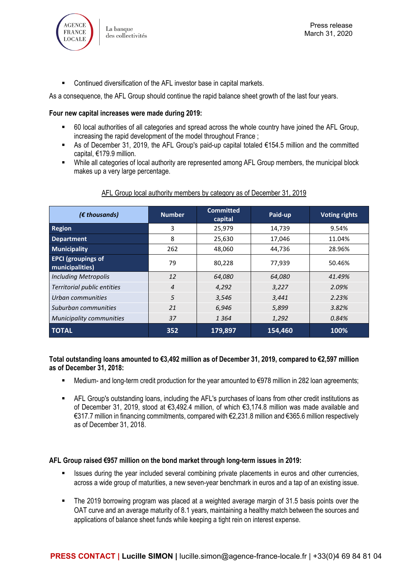

■ Continued diversification of the AFL investor base in capital markets.

As a consequence, the AFL Group should continue the rapid balance sheet growth of the last four years.

#### **Four new capital increases were made during 2019:**

- 60 local authorities of all categories and spread across the whole country have joined the AFL Group, increasing the rapid development of the model throughout France ;
- As of December 31, 2019, the AFL Group's paid-up capital totaled €154.5 million and the committed capital, €179.9 million.
- While all categories of local authority are represented among AFL Group members, the municipal block makes up a very large percentage.

# AFL Group local authority members by category as of December 31, 2019

| $(\epsilon$ thousands)                       | <b>Number</b> | <b>Committed</b><br>capital | Paid-up | <b>Voting rights</b> |
|----------------------------------------------|---------------|-----------------------------|---------|----------------------|
| <b>Region</b>                                | 3             | 25,979                      | 14,739  | 9.54%                |
| <b>Department</b>                            | 8             | 25,630                      | 17,046  | 11.04%               |
| <b>Municipality</b>                          | 262           | 48,060                      | 44,736  | 28.96%               |
| <b>EPCI</b> (groupings of<br>municipalities) | 79            | 80,228                      | 77,939  | 50.46%               |
| <b>Including Metropolis</b>                  | 12            | 64.080                      | 64.080  | 41.49%               |
| Territorial public entities                  | 4             | 4.292                       | 3.227   | 2.09%                |
| Urban communities                            | 5             | 3.546                       | 3,441   | 2.23%                |
| Suburban communities                         | 21            | 6.946                       | 5,899   | 3.82%                |
| Municipality communities                     | 37            | 1 364                       | 1,292   | 0.84%                |
| <b>TOTAL</b>                                 | 352           | 179,897                     | 154,460 | 100%                 |

#### **Total outstanding loans amounted to €3,492 million as of December 31, 2019, compared to €2,597 million as of December 31, 2018:**

- Medium- and long-term credit production for the year amounted to €978 million in 282 loan agreements;
- AFL Group's outstanding loans, including the AFL's purchases of loans from other credit institutions as of December 31, 2019, stood at €3,492.4 million, of which €3,174.8 million was made available and €317.7 million in financing commitments, compared with €2,231.8 million and €365.6 million respectively as of December 31, 2018.

#### **AFL Group raised €957 million on the bond market through long-term issues in 2019:**

- **In It issues during the year included several combining private placements in euros and other currencies,** across a wide group of maturities, a new seven-year benchmark in euros and a tap of an existing issue.
- The 2019 borrowing program was placed at a weighted average margin of 31.5 basis points over the OAT curve and an average maturity of 8.1 years, maintaining a healthy match between the sources and applications of balance sheet funds while keeping a tight rein on interest expense.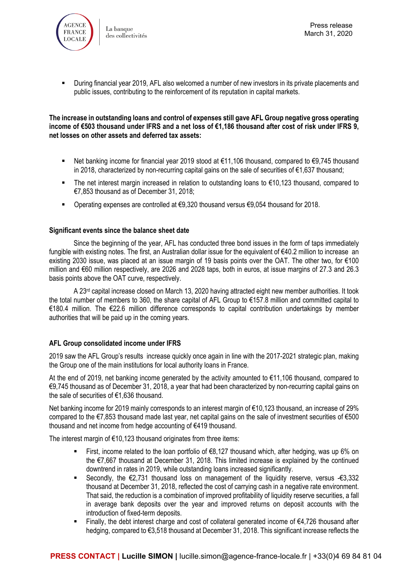

 During financial year 2019, AFL also welcomed a number of new investors in its private placements and public issues, contributing to the reinforcement of its reputation in capital markets.

#### **The increase in outstanding loans and control of expenses still gave AFL Group negative gross operating income of €503 thousand under IFRS and a net loss of €1,186 thousand after cost of risk under IFRS 9, net losses on other assets and deferred tax assets:**

- Net banking income for financial year 2019 stood at €11,106 thousand, compared to €9,745 thousand in 2018, characterized by non-recurring capital gains on the sale of securities of €1,637 thousand;
- The net interest margin increased in relation to outstanding loans to €10,123 thousand, compared to €7,853 thousand as of December 31, 2018;
- Operating expenses are controlled at €9,320 thousand versus €9,054 thousand for 2018.

#### **Significant events since the balance sheet date**

Since the beginning of the year, AFL has conducted three bond issues in the form of taps immediately fungible with existing notes. The first, an Australian dollar issue for the equivalent of €40.2 million to increase an existing 2030 issue, was placed at an issue margin of 19 basis points over the OAT. The other two, for €100 million and €60 million respectively, are 2026 and 2028 taps, both in euros, at issue margins of 27.3 and 26.3 basis points above the OAT curve, respectively.

A 23<sup>rd</sup> capital increase closed on March 13, 2020 having attracted eight new member authorities. It took the total number of members to 360, the share capital of AFL Group to €157.8 million and committed capital to €180.4 million. The €22.6 million difference corresponds to capital contribution undertakings by member authorities that will be paid up in the coming years.

# **AFL Group consolidated income under IFRS**

2019 saw the AFL Group's results increase quickly once again in line with the 2017-2021 strategic plan, making the Group one of the main institutions for local authority loans in France.

At the end of 2019, net banking income generated by the activity amounted to €11,106 thousand, compared to €9,745 thousand as of December 31, 2018, a year that had been characterized by non-recurring capital gains on the sale of securities of €1,636 thousand.

Net banking income for 2019 mainly corresponds to an interest margin of €10,123 thousand, an increase of 29% compared to the €7,853 thousand made last year, net capital gains on the sale of investment securities of €500 thousand and net income from hedge accounting of €419 thousand.

The interest margin of €10,123 thousand originates from three items:

- First, income related to the loan portfolio of  $\epsilon$ 8,127 thousand which, after hedging, was up 6% on the €7,667 thousand at December 31, 2018. This limited increase is explained by the continued downtrend in rates in 2019, while outstanding loans increased significantly.
- Secondly, the €2,731 thousand loss on management of the liquidity reserve, versus -€3,332 thousand at December 31, 2018, reflected the cost of carrying cash in a negative rate environment. That said, the reduction is a combination of improved profitability of liquidity reserve securities, a fall in average bank deposits over the year and improved returns on deposit accounts with the introduction of fixed-term deposits.
- Finally, the debt interest charge and cost of collateral generated income of €4,726 thousand after hedging, compared to €3,518 thousand at December 31, 2018. This significant increase reflects the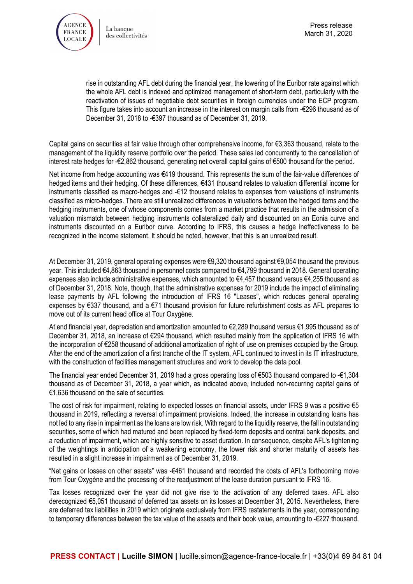

rise in outstanding AFL debt during the financial year, the lowering of the Euribor rate against which the whole AFL debt is indexed and optimized management of short-term debt, particularly with the reactivation of issues of negotiable debt securities in foreign currencies under the ECP program. This figure takes into account an increase in the interest on margin calls from -€296 thousand as of December 31, 2018 to -€397 thousand as of December 31, 2019.

Capital gains on securities at fair value through other comprehensive income, for €3,363 thousand, relate to the management of the liquidity reserve portfolio over the period. These sales led concurrently to the cancellation of interest rate hedges for -€2,862 thousand, generating net overall capital gains of €500 thousand for the period.

Net income from hedge accounting was €419 thousand. This represents the sum of the fair-value differences of hedged items and their hedging. Of these differences, €431 thousand relates to valuation differential income for instruments classified as macro-hedges and -€12 thousand relates to expenses from valuations of instruments classified as micro-hedges. There are still unrealized differences in valuations between the hedged items and the hedging instruments, one of whose components comes from a market practice that results in the admission of a valuation mismatch between hedging instruments collateralized daily and discounted on an Eonia curve and instruments discounted on a Euribor curve. According to IFRS, this causes a hedge ineffectiveness to be recognized in the income statement. It should be noted, however, that this is an unrealized result.

At December 31, 2019, general operating expenses were €9,320 thousand against €9,054 thousand the previous year. This included €4,863 thousand in personnel costs compared to €4,799 thousand in 2018. General operating expenses also include administrative expenses, which amounted to €4,457 thousand versus €4,255 thousand as of December 31, 2018. Note, though, that the administrative expenses for 2019 include the impact of eliminating lease payments by AFL following the introduction of IFRS 16 "Leases", which reduces general operating expenses by €337 thousand, and a €71 thousand provision for future refurbishment costs as AFL prepares to move out of its current head office at Tour Oxygène.

At end financial year, depreciation and amortization amounted to €2,289 thousand versus €1,995 thousand as of December 31, 2018, an increase of €294 thousand, which resulted mainly from the application of IFRS 16 with the incorporation of €258 thousand of additional amortization of right of use on premises occupied by the Group. After the end of the amortization of a first tranche of the IT system, AFL continued to invest in its IT infrastructure, with the construction of facilities management structures and work to develop the data pool.

The financial year ended December 31, 2019 had a gross operating loss of €503 thousand compared to -€1,304 thousand as of December 31, 2018, a year which, as indicated above, included non-recurring capital gains of €1,636 thousand on the sale of securities.

The cost of risk for impairment, relating to expected losses on financial assets, under IFRS 9 was a positive €5 thousand in 2019, reflecting a reversal of impairment provisions. Indeed, the increase in outstanding loans has not led to any rise in impairment as the loans are low risk. With regard to the liquidity reserve, the fall in outstanding securities, some of which had matured and been replaced by fixed-term deposits and central bank deposits, and a reduction of impairment, which are highly sensitive to asset duration. In consequence, despite AFL's tightening of the weightings in anticipation of a weakening economy, the lower risk and shorter maturity of assets has resulted in a slight increase in impairment as of December 31, 2019.

"Net gains or losses on other assets" was -€461 thousand and recorded the costs of AFL's forthcoming move from Tour Oxygène and the processing of the readjustment of the lease duration pursuant to IFRS 16.

Tax losses recognized over the year did not give rise to the activation of any deferred taxes. AFL also derecognized €5,051 thousand of deferred tax assets on its losses at December 31, 2015. Nevertheless, there are deferred tax liabilities in 2019 which originate exclusively from IFRS restatements in the year, corresponding to temporary differences between the tax value of the assets and their book value, amounting to -€227 thousand.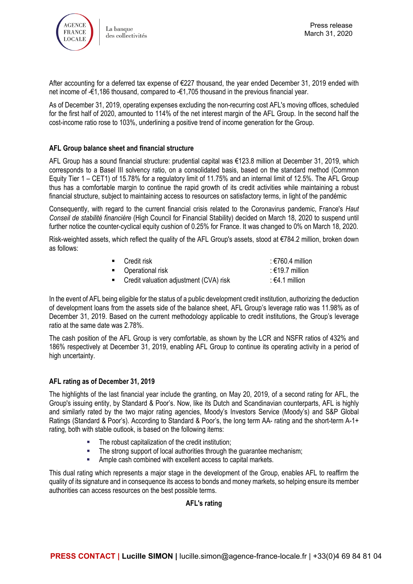

After accounting for a deferred tax expense of €227 thousand, the year ended December 31, 2019 ended with net income of -€1,186 thousand, compared to -€1,705 thousand in the previous financial year.

As of December 31, 2019, operating expenses excluding the non-recurring cost AFL's moving offices, scheduled for the first half of 2020, amounted to 114% of the net interest margin of the AFL Group. In the second half the cost-income ratio rose to 103%, underlining a positive trend of income generation for the Group.

# **AFL Group balance sheet and financial structure**

AFL Group has a sound financial structure: prudential capital was €123.8 million at December 31, 2019, which corresponds to a Basel III solvency ratio, on a consolidated basis, based on the standard method (Common Equity Tier 1 – CET1) of 15.78% for a regulatory limit of 11.75% and an internal limit of 12.5%. The AFL Group thus has a comfortable margin to continue the rapid growth of its credit activities while maintaining a robust financial structure, subject to maintaining access to resources on satisfactory terms, in light of the pandémic

Consequently, with regard to the current financial crisis related to the Coronavirus pandemic, France's *Haut Conseil de stabilité financière* (High Council for Financial Stability) decided on March 18, 2020 to suspend until further notice the counter-cyclical equity cushion of 0.25% for France. It was changed to 0% on March 18, 2020.

Risk-weighted assets, which reflect the quality of the AFL Group's assets, stood at €784.2 million, broken down as follows:

| $\blacksquare$ Credit risk               | : $\epsilon$ 760.4 million |
|------------------------------------------|----------------------------|
| • Operational risk                       | $: €19.7$ million          |
| • Credit valuation adjustment (CVA) risk | $\div$ €4.1 million        |

In the event of AFL being eligible for the status of a public development credit institution, authorizing the deduction of development loans from the assets side of the balance sheet, AFL Group's leverage ratio was 11.98% as of December 31, 2019. Based on the current methodology applicable to credit institutions, the Group's leverage ratio at the same date was 2.78%.

The cash position of the AFL Group is very comfortable, as shown by the LCR and NSFR ratios of 432% and 186% respectively at December 31, 2019, enabling AFL Group to continue its operating activity in a period of high uncertainty.

# **AFL rating as of December 31, 2019**

The highlights of the last financial year include the granting, on May 20, 2019, of a second rating for AFL, the Group's issuing entity, by Standard & Poor's. Now, like its Dutch and Scandinavian counterparts, AFL is highly and similarly rated by the two major rating agencies, Moody's Investors Service (Moody's) and S&P Global Ratings (Standard & Poor's). According to Standard & Poor's, the long term AA- rating and the short-term A-1+ rating, both with stable outlook, is based on the following items:

- The robust capitalization of the credit institution;
- The strong support of local authorities through the guarantee mechanism;
- Ample cash combined with excellent access to capital markets.

This dual rating which represents a major stage in the development of the Group, enables AFL to reaffirm the quality of its signature and in consequence its access to bonds and money markets, so helping ensure its member authorities can access resources on the best possible terms.

# **AFL's rating**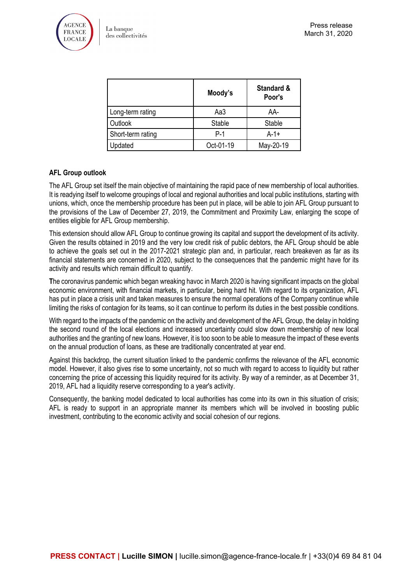

|                   | Moody's       | <b>Standard &amp;</b><br>Poor's |
|-------------------|---------------|---------------------------------|
| Long-term rating  | Aa3           | AA-                             |
| Outlook           | <b>Stable</b> | <b>Stable</b>                   |
| Short-term rating | $P-1$         | $A-1+$                          |
| Updated           | Oct-01-19     | May-20-19                       |

# **AFL Group outlook**

The AFL Group set itself the main objective of maintaining the rapid pace of new membership of local authorities. It is readying itself to welcome groupings of local and regional authorities and local public institutions, starting with unions, which, once the membership procedure has been put in place, will be able to join AFL Group pursuant to the provisions of the Law of December 27, 2019, the Commitment and Proximity Law, enlarging the scope of entities eligible for AFL Group membership.

This extension should allow AFL Group to continue growing its capital and support the development of its activity. Given the results obtained in 2019 and the very low credit risk of public debtors, the AFL Group should be able to achieve the goals set out in the 2017-2021 strategic plan and, in particular, reach breakeven as far as its financial statements are concerned in 2020, subject to the consequences that the pandemic might have for its activity and results which remain difficult to quantify.

**T**he coronavirus pandemic which began wreaking havoc in March 2020 is having significant impacts on the global economic environment, with financial markets, in particular, being hard hit. With regard to its organization, AFL has put in place a crisis unit and taken measures to ensure the normal operations of the Company continue while limiting the risks of contagion for its teams, so it can continue to perform its duties in the best possible conditions.

With regard to the impacts of the pandemic on the activity and development of the AFL Group, the delay in holding the second round of the local elections and increased uncertainty could slow down membership of new local authorities and the granting of new loans. However, it is too soon to be able to measure the impact of these events on the annual production of loans, as these are traditionally concentrated at year end.

Against this backdrop, the current situation linked to the pandemic confirms the relevance of the AFL economic model. However, it also gives rise to some uncertainty, not so much with regard to access to liquidity but rather concerning the price of accessing this liquidity required for its activity. By way of a reminder, as at December 31, 2019, AFL had a liquidity reserve corresponding to a year's activity.

Consequently, the banking model dedicated to local authorities has come into its own in this situation of crisis; AFL is ready to support in an appropriate manner its members which will be involved in boosting public investment, contributing to the economic activity and social cohesion of our regions.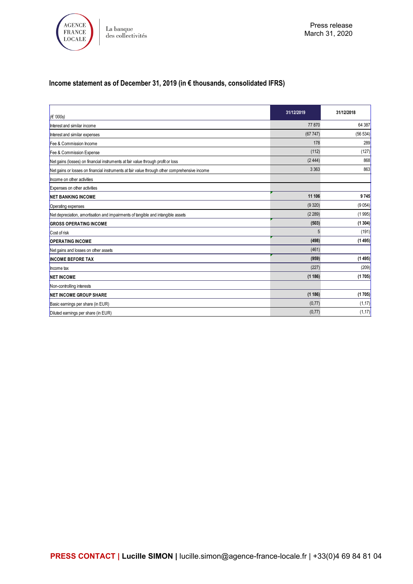

# **Income statement as of December 31, 2019 (in € thousands, consolidated IFRS)**

| $(\epsilon$ '000s)                                                                            | 31/12/2019 | 31/12/2018 |
|-----------------------------------------------------------------------------------------------|------------|------------|
| Interest and similar income                                                                   | 77870      | 64 387     |
| Interest and similar expenses                                                                 | (67747)    | (56 534)   |
| Fee & Commission Income                                                                       | 178        | 289        |
| Fee & Commission Expense                                                                      | (112)      | (127)      |
| Net gains (losses) on financial instruments at fair value through profit or loss              | (2444)     | 868        |
| Net gains or losses on financial instruments at fair value through other comprehensive income | 3 3 6 3    | 863        |
| Income on other activities                                                                    |            |            |
| Expenses on other activities                                                                  |            |            |
| <b>NET BANKING INCOME</b>                                                                     | 11 106     | 9745       |
| Operating expenses                                                                            | (9320)     | (9054)     |
| Net depreciation, amortisation and impairments of tangible and intangible assets              | (2 289)    | (1995)     |
| <b>GROSS OPERATING INCOME</b>                                                                 | (503)      | (1304)     |
| Cost of risk                                                                                  | 5          | (191)      |
| <b>OPERATING INCOME</b>                                                                       | (498)      | (1495)     |
| Net gains and losses on other assets                                                          | (461)      |            |
| <b>INCOME BEFORE TAX</b>                                                                      | (959)      | (1495)     |
| Income tax                                                                                    | (227)      | (209)      |
| <b>NET INCOME</b>                                                                             | (1186)     | (1705)     |
| Non-controlling interests                                                                     |            |            |
| <b>NET INCOME GROUP SHARE</b>                                                                 | (1186)     | (1705)     |
| Basic earnings per share (in EUR)                                                             | (0,77)     | (1, 17)    |
| Diluted earnings per share (in EUR)                                                           | (0,77)     | (1, 17)    |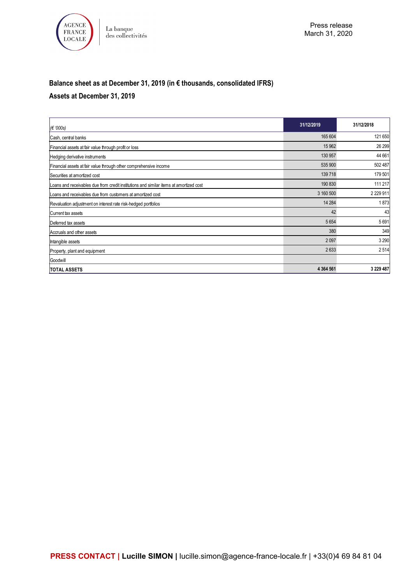

# **Balance sheet as at December 31, 2019 (in € thousands, consolidated IFRS)**

# **Assets at December 31, 2019**

| $\epsilon$ '000s)                                                                      | 31/12/2019    | 31/12/2018  |
|----------------------------------------------------------------------------------------|---------------|-------------|
| Cash, central banks                                                                    | 165 604       | 121 650     |
| Financial assets at fair value through profit or loss                                  | 15 9 62       | 26 299      |
| Hedging derivative instruments                                                         | 130 957       | 44 661      |
| Financial assets at fair value through other comprehensive income                      | 535 900       | 502 487     |
| Securities at amortized cost                                                           | 139718        | 179 501     |
| Loans and receivables due from credit institutions and similar items at amortized cost | 190 830       | 111 217     |
| Loans and receivables due from customers at amortized cost                             | 3 160 500     | 2 2 2 9 1 1 |
| Revaluation adjustment on interest rate risk-hedged portfolios                         | 14 2 84       | 1873        |
| Current tax assets                                                                     | 42            | 43          |
| Deferred tax assets                                                                    | 5654          | 5691        |
| Accruals and other assets                                                              | 380           | 349         |
| Intangible assets                                                                      | 2097          | 3 2 9 0     |
| Property, plant and equipment                                                          | 2633          | 2514        |
| Goodwill                                                                               |               |             |
| <b>TOTAL ASSETS</b>                                                                    | 4 3 6 4 5 6 1 | 3 229 487   |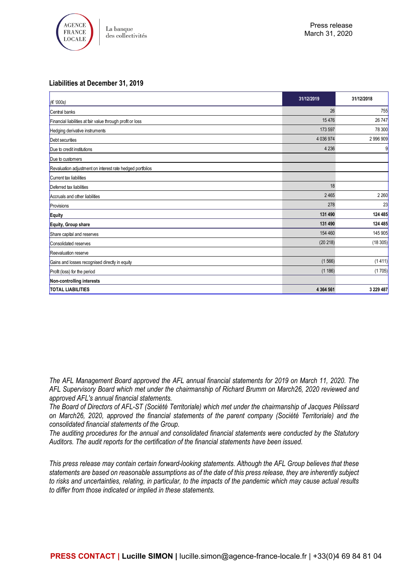

#### **Liabilities at December 31, 2019**

| $\epsilon$ '000s)                                          | 31/12/2019    | 31/12/2018    |
|------------------------------------------------------------|---------------|---------------|
| Central banks                                              | 26            | 755           |
| Financial liabilities at fair value through profit or loss | 15476         | 26 747        |
| Hedging derivative instruments                             | 173 597       | <b>78 300</b> |
| Debt securities                                            | 4 036 974     | 2 996 909     |
| Due to credit institutions                                 | 4 2 3 6       | 9             |
| Due to customers                                           |               |               |
| Revaluation adjustment on interest rate hedged portfolios  |               |               |
| Current tax liabilities                                    |               |               |
| Deferred tax liabilities                                   | 18            |               |
| Accruals and other liabilities                             | 2465          | 2 2 6 0       |
| Provisions                                                 | 278           | 23            |
| Equity                                                     | 131 490       | 124 485       |
| Equity, Group share                                        | 131 490       | 124 485       |
| Share capital and reserves                                 | 154 460       | 145 905       |
| Consolidated reserves                                      | (20 218)      | (18305)       |
| <b>Reevaluation reserve</b>                                |               |               |
| Gains and losses recognised directly in equity             | (1566)        | (1411)        |
| Profit (loss) for the period                               | (1186)        | (1705)        |
| Non-controlling interests                                  |               |               |
| <b>TOTAL LIABILITIES</b>                                   | 4 3 6 4 5 6 1 | 3 229 487     |

*The AFL Management Board approved the AFL annual financial statements for 2019 on March 11, 2020. The AFL Supervisory Board which met under the chairmanship of Richard Brumm on March26, 2020 reviewed and approved AFL's annual financial statements.*

*The Board of Directors of AFL-ST (Société Territoriale) which met under the chairmanship of Jacques Pélissard on March26, 2020, approved the financial statements of the parent company (Société Territoriale) and the consolidated financial statements of the Group.*

*The auditing procedures for the annual and consolidated financial statements were conducted by the Statutory Auditors. The audit reports for the certification of the financial statements have been issued.*

*This press release may contain certain forward-looking statements. Although the AFL Group believes that these statements are based on reasonable assumptions as of the date of this press release, they are inherently subject to risks and uncertainties, relating, in particular, to the impacts of the pandemic which may cause actual results to differ from those indicated or implied in these statements.*